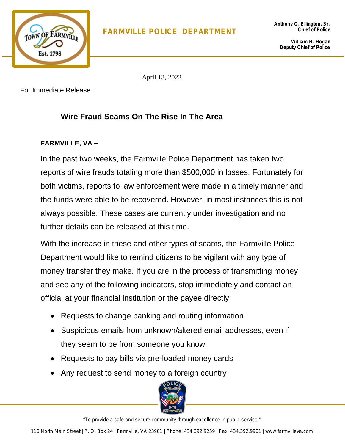

**William H. Hogan Deputy Chief of Police**

April 13, 2022

For Immediate Release

## **Wire Fraud Scams On The Rise In The Area**

## **FARMVILLE, VA –**

In the past two weeks, the Farmville Police Department has taken two reports of wire frauds totaling more than \$500,000 in losses. Fortunately for both victims, reports to law enforcement were made in a timely manner and the funds were able to be recovered. However, in most instances this is not always possible. These cases are currently under investigation and no further details can be released at this time.

With the increase in these and other types of scams, the Farmville Police Department would like to remind citizens to be vigilant with any type of money transfer they make. If you are in the process of transmitting money and see any of the following indicators, stop immediately and contact an official at your financial institution or the payee directly:

- Requests to change banking and routing information
- Suspicious emails from unknown/altered email addresses, even if they seem to be from someone you know
- Requests to pay bills via pre-loaded money cards
- Any request to send money to a foreign country



"To provide a safe and secure community through excellence in public service."